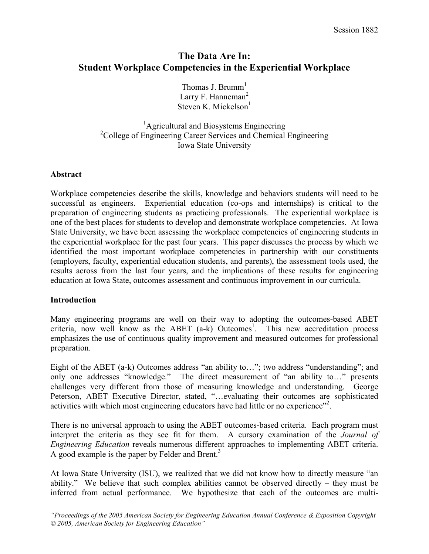# The Data Are In: Student Workplace Competencies in the Experiential Workplace

Thomas J. Brumm $<sup>1</sup>$ </sup> Larry F. Hanneman<sup>2</sup> Steven K. Mickelson $<sup>1</sup>$ </sup>

<sup>1</sup>Agricultural and Biosystems Engineering <sup>2</sup>College of Engineering Career Services and Chemical Engineering Iowa State University

## Abstract

Workplace competencies describe the skills, knowledge and behaviors students will need to be successful as engineers. Experiential education (co-ops and internships) is critical to the preparation of engineering students as practicing professionals. The experiential workplace is one of the best places for students to develop and demonstrate workplace competencies. At Iowa State University, we have been assessing the workplace competencies of engineering students in the experiential workplace for the past four years. This paper discusses the process by which we identified the most important workplace competencies in partnership with our constituents (employers, faculty, experiential education students, and parents), the assessment tools used, the results across from the last four years, and the implications of these results for engineering education at Iowa State, outcomes assessment and continuous improvement in our curricula.

#### Introduction

Many engineering programs are well on their way to adopting the outcomes-based ABET criteria, now well know as the ABET  $(a-k)$  Outcomes<sup>1</sup>. This new accreditation process emphasizes the use of continuous quality improvement and measured outcomes for professional preparation.

Eight of the ABET (a-k) Outcomes address "an ability to…"; two address "understanding"; and only one addresses "knowledge." The direct measurement of "an ability to…" presents challenges very different from those of measuring knowledge and understanding. George Peterson, ABET Executive Director, stated, "…evaluating their outcomes are sophisticated activities with which most engineering educators have had little or no experience"<sup>2</sup>.

There is no universal approach to using the ABET outcomes-based criteria. Each program must interpret the criteria as they see fit for them. A cursory examination of the Journal of Engineering Education reveals numerous different approaches to implementing ABET criteria. A good example is the paper by Felder and Brent. $3$ 

At Iowa State University (ISU), we realized that we did not know how to directly measure "an ability." We believe that such complex abilities cannot be observed directly – they must be inferred from actual performance. We hypothesize that each of the outcomes are multi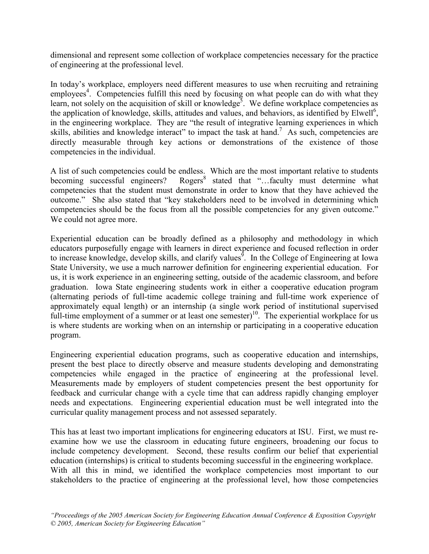dimensional and represent some collection of workplace competencies necessary for the practice of engineering at the professional level.

In today's workplace, employers need different measures to use when recruiting and retraining employees<sup>4</sup>. Competencies fulfill this need by focusing on what people can do with what they learn, not solely on the acquisition of skill or knowledge<sup>3</sup>. We define workplace competencies as the application of knowledge, skills, attitudes and values, and behaviors, as identified by Elwell<sup>6</sup>, in the engineering workplace. They are "the result of integrative learning experiences in which skills, abilities and knowledge interact" to impact the task at hand.<sup>7</sup> As such, competencies are directly measurable through key actions or demonstrations of the existence of those competencies in the individual.

A list of such competencies could be endless. Which are the most important relative to students becoming successful engineers? Rogers<sup>8</sup> stated that "...faculty must determine what competencies that the student must demonstrate in order to know that they have achieved the outcome." She also stated that "key stakeholders need to be involved in determining which competencies should be the focus from all the possible competencies for any given outcome." We could not agree more.

Experiential education can be broadly defined as a philosophy and methodology in which educators purposefully engage with learners in direct experience and focused reflection in order to increase knowledge, develop skills, and clarify values<sup>9</sup>. In the College of Engineering at Iowa State University, we use a much narrower definition for engineering experiential education. For us, it is work experience in an engineering setting, outside of the academic classroom, and before graduation. Iowa State engineering students work in either a cooperative education program (alternating periods of full-time academic college training and full-time work experience of approximately equal length) or an internship (a single work period of institutional supervised full-time employment of a summer or at least one semester)<sup>10</sup>. The experiential workplace for us is where students are working when on an internship or participating in a cooperative education program.

Engineering experiential education programs, such as cooperative education and internships, present the best place to directly observe and measure students developing and demonstrating competencies while engaged in the practice of engineering at the professional level. Measurements made by employers of student competencies present the best opportunity for feedback and curricular change with a cycle time that can address rapidly changing employer needs and expectations. Engineering experiential education must be well integrated into the curricular quality management process and not assessed separately.

This has at least two important implications for engineering educators at ISU. First, we must reexamine how we use the classroom in educating future engineers, broadening our focus to include competency development. Second, these results confirm our belief that experiential education (internships) is critical to students becoming successful in the engineering workplace. With all this in mind, we identified the workplace competencies most important to our stakeholders to the practice of engineering at the professional level, how those competencies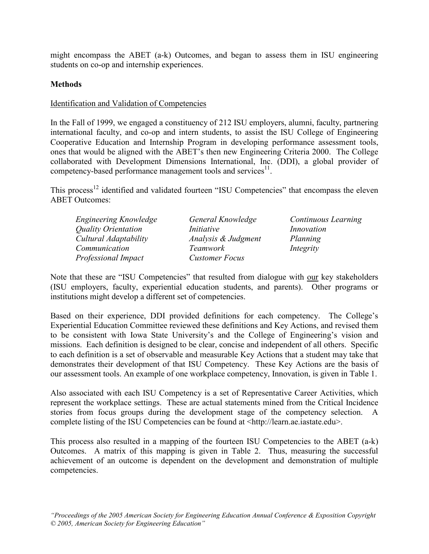might encompass the ABET (a-k) Outcomes, and began to assess them in ISU engineering students on co-op and internship experiences.

## **Methods**

## Identification and Validation of Competencies

In the Fall of 1999, we engaged a constituency of 212 ISU employers, alumni, faculty, partnering international faculty, and co-op and intern students, to assist the ISU College of Engineering Cooperative Education and Internship Program in developing performance assessment tools, ones that would be aligned with the ABET's then new Engineering Criteria 2000. The College collaborated with Development Dimensions International, Inc. (DDI), a global provider of competency-based performance management tools and services<sup>11</sup>.

This process<sup>12</sup> identified and validated fourteen "ISU Competencies" that encompass the eleven ABET Outcomes:

| Engineering Knowledge      | General Knowledge     | Continuous Learning |
|----------------------------|-----------------------|---------------------|
| Quality Orientation        | <i>Initiative</i>     | Innovation          |
| Cultural Adaptability      | Analysis & Judgment   | Planning            |
| Communication              | Teamwork              | Integrity           |
| <b>Professional Impact</b> | <b>Customer Focus</b> |                     |

Note that these are "ISU Competencies" that resulted from dialogue with our key stakeholders (ISU employers, faculty, experiential education students, and parents). Other programs or institutions might develop a different set of competencies.

Based on their experience, DDI provided definitions for each competency. The College's Experiential Education Committee reviewed these definitions and Key Actions, and revised them to be consistent with Iowa State University's and the College of Engineering's vision and missions. Each definition is designed to be clear, concise and independent of all others. Specific to each definition is a set of observable and measurable Key Actions that a student may take that demonstrates their development of that ISU Competency. These Key Actions are the basis of our assessment tools. An example of one workplace competency, Innovation, is given in Table 1.

Also associated with each ISU Competency is a set of Representative Career Activities, which represent the workplace settings. These are actual statements mined from the Critical Incidence stories from focus groups during the development stage of the competency selection. A complete listing of the ISU Competencies can be found at <http://learn.ae.iastate.edu>.

This process also resulted in a mapping of the fourteen ISU Competencies to the ABET (a-k) Outcomes. A matrix of this mapping is given in Table 2. Thus, measuring the successful achievement of an outcome is dependent on the development and demonstration of multiple competencies.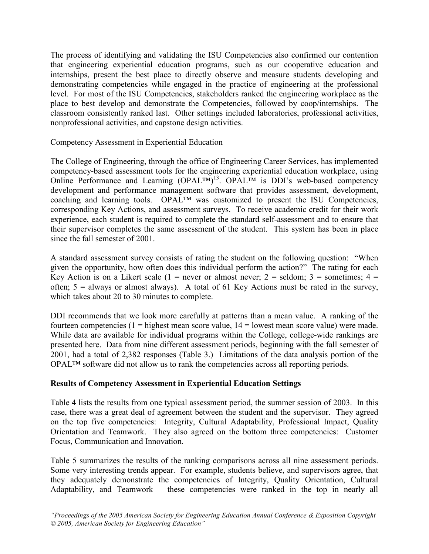The process of identifying and validating the ISU Competencies also confirmed our contention that engineering experiential education programs, such as our cooperative education and internships, present the best place to directly observe and measure students developing and demonstrating competencies while engaged in the practice of engineering at the professional level. For most of the ISU Competencies, stakeholders ranked the engineering workplace as the place to best develop and demonstrate the Competencies, followed by coop/internships. The classroom consistently ranked last. Other settings included laboratories, professional activities, nonprofessional activities, and capstone design activities.

## Competency Assessment in Experiential Education

The College of Engineering, through the office of Engineering Career Services, has implemented competency-based assessment tools for the engineering experiential education workplace, using Online Performance and Learning  $(OPALTM)^{13}$ .  $OPALTM$  is DDI's web-based competency development and performance management software that provides assessment, development, coaching and learning tools. OPAL™ was customized to present the ISU Competencies, corresponding Key Actions, and assessment surveys. To receive academic credit for their work experience, each student is required to complete the standard self-assessment and to ensure that their supervisor completes the same assessment of the student. This system has been in place since the fall semester of 2001.

A standard assessment survey consists of rating the student on the following question: "When given the opportunity, how often does this individual perform the action?" The rating for each Key Action is on a Likert scale (1 = never or almost never; 2 = seldom; 3 = sometimes; 4 = often;  $5 =$  always or almost always). A total of 61 Key Actions must be rated in the survey, which takes about 20 to 30 minutes to complete.

DDI recommends that we look more carefully at patterns than a mean value. A ranking of the fourteen competencies ( $1 =$  highest mean score value,  $14 =$  lowest mean score value) were made. While data are available for individual programs within the College, college-wide rankings are presented here. Data from nine different assessment periods, beginning with the fall semester of 2001, had a total of 2,382 responses (Table 3.) Limitations of the data analysis portion of the OPAL™ software did not allow us to rank the competencies across all reporting periods.

## Results of Competency Assessment in Experiential Education Settings

Table 4 lists the results from one typical assessment period, the summer session of 2003. In this case, there was a great deal of agreement between the student and the supervisor. They agreed on the top five competencies: Integrity, Cultural Adaptability, Professional Impact, Quality Orientation and Teamwork. They also agreed on the bottom three competencies: Customer Focus, Communication and Innovation.

Table 5 summarizes the results of the ranking comparisons across all nine assessment periods. Some very interesting trends appear. For example, students believe, and supervisors agree, that they adequately demonstrate the competencies of Integrity, Quality Orientation, Cultural Adaptability, and Teamwork – these competencies were ranked in the top in nearly all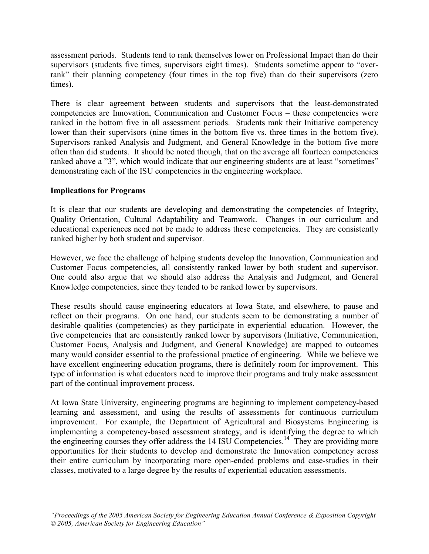assessment periods. Students tend to rank themselves lower on Professional Impact than do their supervisors (students five times, supervisors eight times). Students sometime appear to "overrank" their planning competency (four times in the top five) than do their supervisors (zero times).

There is clear agreement between students and supervisors that the least-demonstrated competencies are Innovation, Communication and Customer Focus – these competencies were ranked in the bottom five in all assessment periods. Students rank their Initiative competency lower than their supervisors (nine times in the bottom five vs. three times in the bottom five). Supervisors ranked Analysis and Judgment, and General Knowledge in the bottom five more often than did students. It should be noted though, that on the average all fourteen competencies ranked above a "3", which would indicate that our engineering students are at least "sometimes" demonstrating each of the ISU competencies in the engineering workplace.

## Implications for Programs

It is clear that our students are developing and demonstrating the competencies of Integrity, Quality Orientation, Cultural Adaptability and Teamwork. Changes in our curriculum and educational experiences need not be made to address these competencies. They are consistently ranked higher by both student and supervisor.

However, we face the challenge of helping students develop the Innovation, Communication and Customer Focus competencies, all consistently ranked lower by both student and supervisor. One could also argue that we should also address the Analysis and Judgment, and General Knowledge competencies, since they tended to be ranked lower by supervisors.

These results should cause engineering educators at Iowa State, and elsewhere, to pause and reflect on their programs. On one hand, our students seem to be demonstrating a number of desirable qualities (competencies) as they participate in experiential education. However, the five competencies that are consistently ranked lower by supervisors (Initiative, Communication, Customer Focus, Analysis and Judgment, and General Knowledge) are mapped to outcomes many would consider essential to the professional practice of engineering. While we believe we have excellent engineering education programs, there is definitely room for improvement. This type of information is what educators need to improve their programs and truly make assessment part of the continual improvement process.

At Iowa State University, engineering programs are beginning to implement competency-based learning and assessment, and using the results of assessments for continuous curriculum improvement. For example, the Department of Agricultural and Biosystems Engineering is implementing a competency-based assessment strategy, and is identifying the degree to which the engineering courses they offer address the  $14$  ISU Competencies.<sup>14</sup> They are providing more opportunities for their students to develop and demonstrate the Innovation competency across their entire curriculum by incorporating more open-ended problems and case-studies in their classes, motivated to a large degree by the results of experiential education assessments.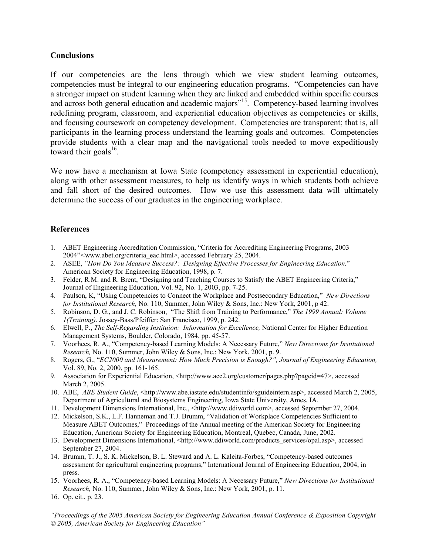#### **Conclusions**

If our competencies are the lens through which we view student learning outcomes, competencies must be integral to our engineering education programs. "Competencies can have a stronger impact on student learning when they are linked and embedded within specific courses and across both general education and academic majors"<sup>15</sup>. Competency-based learning involves redefining program, classroom, and experiential education objectives as competencies or skills, and focusing coursework on competency development. Competencies are transparent; that is, all participants in the learning process understand the learning goals and outcomes. Competencies provide students with a clear map and the navigational tools needed to move expeditiously toward their goals $^{16}$ .

We now have a mechanism at Iowa State (competency assessment in experiential education), along with other assessment measures, to help us identify ways in which students both achieve and fall short of the desired outcomes. How we use this assessment data will ultimately determine the success of our graduates in the engineering workplace.

## References

- 1. ABET Engineering Accreditation Commission, "Criteria for Accrediting Engineering Programs, 2003– 2004"<www.abet.org/criteria\_eac.html>, accessed February 25, 2004.
- 2. ASEE, "How Do You Measure Success?: Designing Effective Processes for Engineering Education." American Society for Engineering Education, 1998, p. 7.
- 3. Felder, R.M. and R. Brent, "Designing and Teaching Courses to Satisfy the ABET Engineering Criteria," Journal of Engineering Education, Vol. 92, No. 1, 2003, pp. 7-25.
- 4. Paulson, K, "Using Competencies to Connect the Workplace and Postsecondary Education," New Directions for Institutional Research, No. 110, Summer, John Wiley & Sons, Inc.: New York, 2001, p 42.
- 5. Robinson, D. G., and J. C. Robinson, "The Shift from Training to Performance," The 1999 Annual: Volume 1(Training). Jossey-Bass/Pfeiffer: San Francisco, 1999, p. 242.
- 6. Elwell, P., The Self-Regarding Instituion: Information for Excellence, National Center for Higher Education Management Systems, Boulder, Colorado, 1984, pp. 45-57.
- 7. Voorhees, R. A., "Competency-based Learning Models: A Necessary Future," New Directions for Institutional Research, No. 110, Summer, John Wiley & Sons, Inc.: New York, 2001, p. 9.
- 8. Rogers, G., "EC2000 and Measurement: How Much Precision is Enough?", Journal of Engineering Education, Vol. 89, No. 2, 2000, pp. 161-165.
- 9. Association for Experiential Education, <http://www.aee2.org/customer/pages.php?pageid=47>, accessed March 2, 2005.
- 10. ABE, ABE Student Guide, <http://www.abe.iastate.edu/studentinfo/sguideintern.asp>, accessed March 2, 2005, Department of Agricultural and Biosystems Engineering, Iowa State University, Ames, IA.
- 11. Development Dimensions International, Inc., <http://www.ddiworld.com>, accessed September 27, 2004.
- 12. Mickelson, S.K., L.F. Hanneman and T.J. Brumm, "Validation of Workplace Competencies Sufficient to Measure ABET Outcomes," Proceedings of the Annual meeting of the American Society for Engineering Education, American Society for Engineering Education, Montreal, Quebec, Canada, June, 2002.
- 13. Development Dimensions International, <http://www.ddiworld.com/products\_services/opal.asp>, accessed September 27, 2004.
- 14. Brumm, T. J., S. K. Mickelson, B. L. Steward and A. L. Kaleita-Forbes, "Competency-based outcomes assessment for agricultural engineering programs," International Journal of Engineering Education, 2004, in press.
- 15. Voorhees, R. A., "Competency-based Learning Models: A Necessary Future," New Directions for Institutional Research, No. 110, Summer, John Wiley & Sons, Inc.: New York, 2001, p. 11.
- 16. Op. cit., p. 23.

"Proceedings of the 2005 American Society for Engineering Education Annual Conference & Exposition Copyright © 2005, American Society for Engineering Education"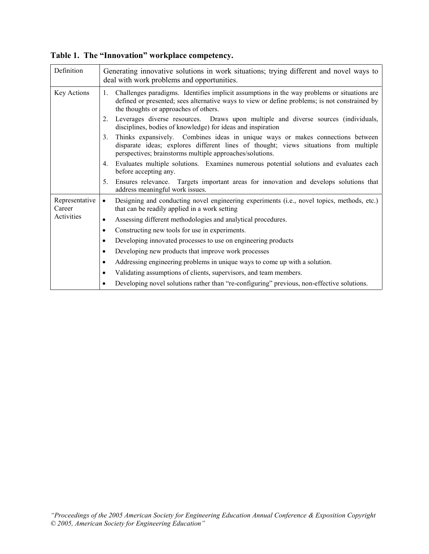| Definition               | Generating innovative solutions in work situations; trying different and novel ways to<br>deal with work problems and opportunities.                                                                                                                 |  |  |  |  |
|--------------------------|------------------------------------------------------------------------------------------------------------------------------------------------------------------------------------------------------------------------------------------------------|--|--|--|--|
| Key Actions              | Challenges paradigms. Identifies implicit assumptions in the way problems or situations are<br>$1_{\cdot}$<br>defined or presented; sees alternative ways to view or define problems; is not constrained by<br>the thoughts or approaches of others. |  |  |  |  |
|                          | Leverages diverse resources. Draws upon multiple and diverse sources (individuals,<br>2.<br>disciplines, bodies of knowledge) for ideas and inspiration                                                                                              |  |  |  |  |
|                          | Thinks expansively. Combines ideas in unique ways or makes connections between<br>3.<br>disparate ideas; explores different lines of thought; views situations from multiple<br>perspectives; brainstorms multiple approaches/solutions.             |  |  |  |  |
|                          | Evaluates multiple solutions. Examines numerous potential solutions and evaluates each<br>4.<br>before accepting any.                                                                                                                                |  |  |  |  |
|                          | 5.<br>Ensures relevance. Targets important areas for innovation and develops solutions that<br>address meaningful work issues.                                                                                                                       |  |  |  |  |
| Representative<br>Career | Designing and conducting novel engineering experiments (i.e., novel topics, methods, etc.)<br>$\bullet$<br>that can be readily applied in a work setting                                                                                             |  |  |  |  |
| Activities               | Assessing different methodologies and analytical procedures.<br>٠                                                                                                                                                                                    |  |  |  |  |
|                          | Constructing new tools for use in experiments.<br>$\bullet$                                                                                                                                                                                          |  |  |  |  |
|                          | Developing innovated processes to use on engineering products<br>٠                                                                                                                                                                                   |  |  |  |  |
|                          | Developing new products that improve work processes<br>٠                                                                                                                                                                                             |  |  |  |  |
|                          | Addressing engineering problems in unique ways to come up with a solution.<br>$\bullet$                                                                                                                                                              |  |  |  |  |
|                          | Validating assumptions of clients, supervisors, and team members.<br>٠                                                                                                                                                                               |  |  |  |  |
|                          | Developing novel solutions rather than "re-configuring" previous, non-effective solutions.                                                                                                                                                           |  |  |  |  |

Table 1. The "Innovation" workplace competency.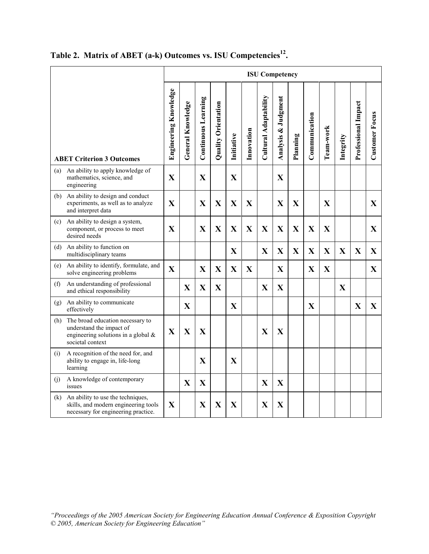|     |                                                                                                                            | <b>ISU Competency</b> |                   |                            |                     |              |              |                       |                     |              |               |             |             |                     |                       |
|-----|----------------------------------------------------------------------------------------------------------------------------|-----------------------|-------------------|----------------------------|---------------------|--------------|--------------|-----------------------|---------------------|--------------|---------------|-------------|-------------|---------------------|-----------------------|
|     | <b>ABET Criterion 3 Outcomes</b>                                                                                           | Engineering Knowledge | General Knowledge | <b>Continuous Learning</b> | Quality Orientation | Initiative   | Innovation   | Cultural Adaptability | Analysis & Judgment | Planning     | Communication | Team-work   | Integrity   | Professional Impact | <b>Customer Focus</b> |
| (a) | An ability to apply knowledge of<br>mathematics, science, and<br>engineering                                               | $\mathbf X$           |                   | $\mathbf X$                |                     | X            |              |                       | $\mathbf X$         |              |               |             |             |                     |                       |
| (b) | An ability to design and conduct<br>experiments, as well as to analyze<br>and interpret data                               | $\mathbf{X}$          |                   | X                          | X                   | $\mathbf X$  | X            |                       | $\mathbf{X}$        | $\mathbf{X}$ |               | X           |             |                     | X                     |
| (c) | An ability to design a system,<br>component, or process to meet<br>desired needs                                           | $\mathbf{X}$          |                   | X                          | X                   | $\mathbf{X}$ | $\mathbf{X}$ | X                     | X                   | X            | X             | X           |             |                     | $\mathbf{X}$          |
| (d) | An ability to function on<br>multidisciplinary teams                                                                       |                       |                   |                            |                     | $\mathbf{X}$ |              | $\mathbf{X}$          | X                   | X            | X             | $\mathbf X$ | X           | $\mathbf{X}$        | $\mathbf{X}$          |
| (e) | An ability to identify, formulate, and<br>solve engineering problems                                                       | $\mathbf{X}$          |                   | X                          | X                   | $\mathbf X$  | X            |                       | $\mathbf X$         |              | X             | $\mathbf X$ |             |                     | $\mathbf{X}$          |
| (f) | An understanding of professional<br>and ethical responsibility                                                             |                       | $\mathbf X$       | $\mathbf X$                | $\mathbf X$         |              |              | $\mathbf X$           | $\mathbf X$         |              |               |             | $\mathbf X$ |                     |                       |
| (g) | An ability to communicate<br>effectively                                                                                   |                       | $\mathbf X$       |                            |                     | X            |              |                       |                     |              | X             |             |             | $\mathbf X$         | $\mathbf X$           |
| (h) | The broad education necessary to<br>understand the impact of<br>engineering solutions in a global $\&$<br>societal context | X                     | X                 | X                          |                     |              |              | X                     | $\mathbf X$         |              |               |             |             |                     |                       |
| (i) | A recognition of the need for, and<br>ability to engage in, life-long<br>learning                                          |                       |                   | X                          |                     | X            |              |                       |                     |              |               |             |             |                     |                       |
| (j) | A knowledge of contemporary<br>issues                                                                                      |                       | $\mathbf X$       | $\mathbf X$                |                     |              |              | $\mathbf X$           | $\mathbf X$         |              |               |             |             |                     |                       |
| (k) | An ability to use the techniques,<br>skills, and modern engineering tools<br>necessary for engineering practice.           | $\mathbf X$           |                   | $\mathbf X$                | X                   | $\mathbf{X}$ |              | X                     | $\mathbf X$         |              |               |             |             |                     |                       |

Table 2. Matrix of ABET (a-k) Outcomes vs. ISU Competencies<sup>12</sup>.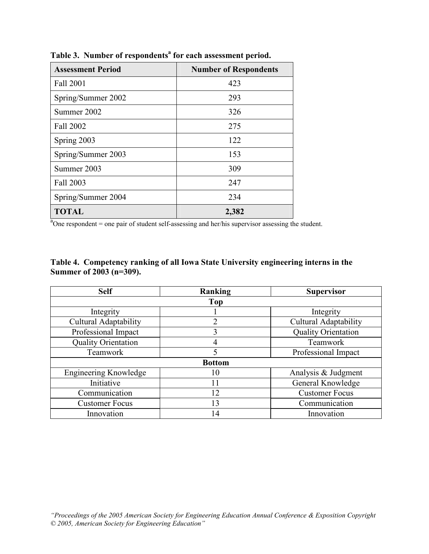| <b>Assessment Period</b> | <b>Number of Respondents</b> |
|--------------------------|------------------------------|
| Fall 2001                | 423                          |
| Spring/Summer 2002       | 293                          |
| Summer 2002              | 326                          |
| Fall 2002                | 275                          |
| Spring 2003              | 122                          |
| Spring/Summer 2003       | 153                          |
| Summer 2003              | 309                          |
| Fall 2003                | 247                          |
| Spring/Summer 2004       | 234                          |
| <b>TOTAL</b>             | 2,382                        |

Table 3. Number of respondents<sup>a</sup> for each assessment period.

a One respondent = one pair of student self-assessing and her/his supervisor assessing the student.

# Table 4. Competency ranking of all Iowa State University engineering interns in the Summer of 2003 (n=309).

| <b>Self</b>                  | Ranking | <b>Supervisor</b>            |  |  |  |  |  |
|------------------------------|---------|------------------------------|--|--|--|--|--|
| Top                          |         |                              |  |  |  |  |  |
| Integrity                    |         | Integrity                    |  |  |  |  |  |
| <b>Cultural Adaptability</b> | 2       | <b>Cultural Adaptability</b> |  |  |  |  |  |
| Professional Impact          | 3       | Quality Orientation          |  |  |  |  |  |
| <b>Quality Orientation</b>   |         | Teamwork                     |  |  |  |  |  |
| Teamwork                     |         | Professional Impact          |  |  |  |  |  |
| <b>Bottom</b>                |         |                              |  |  |  |  |  |
| <b>Engineering Knowledge</b> | 10      | Analysis & Judgment          |  |  |  |  |  |
| Initiative                   | 11      | General Knowledge            |  |  |  |  |  |
| Communication                | 12      | <b>Customer Focus</b>        |  |  |  |  |  |
| <b>Customer Focus</b>        | 13      | Communication                |  |  |  |  |  |
| Innovation                   | 14      | Innovation                   |  |  |  |  |  |